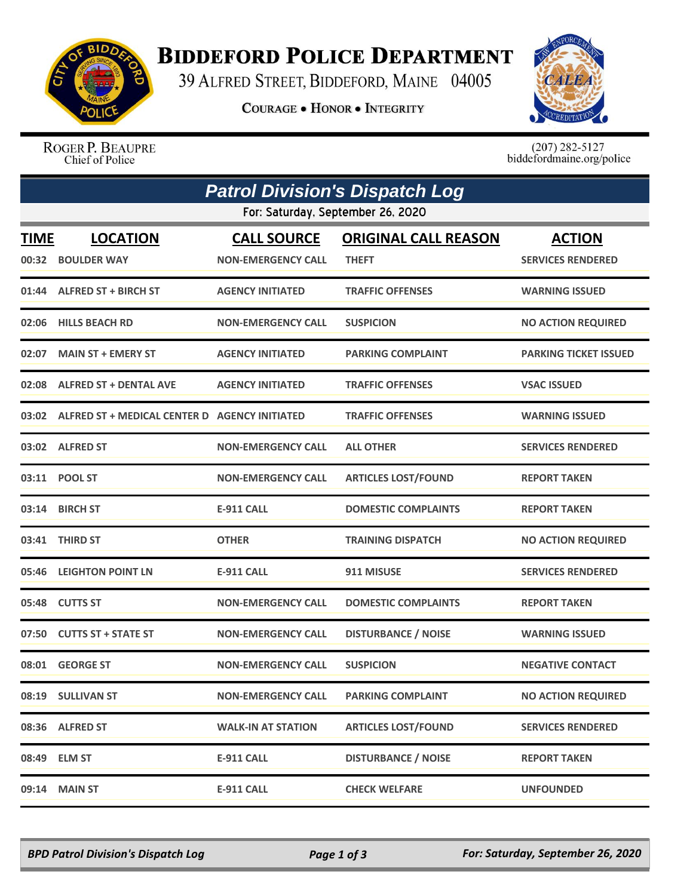

## **BIDDEFORD POLICE DEPARTMENT**

39 ALFRED STREET, BIDDEFORD, MAINE 04005

**COURAGE . HONOR . INTEGRITY** 



ROGER P. BEAUPRE Chief of Police

 $(207)$  282-5127<br>biddefordmaine.org/police

| <b>Patrol Division's Dispatch Log</b> |                                                     |                           |                             |                           |  |  |  |
|---------------------------------------|-----------------------------------------------------|---------------------------|-----------------------------|---------------------------|--|--|--|
| For: Saturday, September 26, 2020     |                                                     |                           |                             |                           |  |  |  |
| <b>TIME</b>                           | <b>LOCATION</b>                                     | <b>CALL SOURCE</b>        | <b>ORIGINAL CALL REASON</b> | <b>ACTION</b>             |  |  |  |
| 00:32                                 | <b>BOULDER WAY</b>                                  | <b>NON-EMERGENCY CALL</b> | <b>THEFT</b>                | <b>SERVICES RENDERED</b>  |  |  |  |
| 01:44                                 | <b>ALFRED ST + BIRCH ST</b>                         | <b>AGENCY INITIATED</b>   | <b>TRAFFIC OFFENSES</b>     | <b>WARNING ISSUED</b>     |  |  |  |
|                                       | 02:06 HILLS BEACH RD                                | <b>NON-EMERGENCY CALL</b> | <b>SUSPICION</b>            | <b>NO ACTION REQUIRED</b> |  |  |  |
| 02:07                                 | <b>MAIN ST + EMERY ST</b>                           | <b>AGENCY INITIATED</b>   | <b>PARKING COMPLAINT</b>    | PARKING TICKET ISSUED     |  |  |  |
|                                       | 02:08 ALFRED ST + DENTAL AVE                        | <b>AGENCY INITIATED</b>   | <b>TRAFFIC OFFENSES</b>     | <b>VSAC ISSUED</b>        |  |  |  |
|                                       | 03:02 ALFRED ST + MEDICAL CENTER D AGENCY INITIATED |                           | <b>TRAFFIC OFFENSES</b>     | <b>WARNING ISSUED</b>     |  |  |  |
|                                       | 03:02 ALFRED ST                                     | <b>NON-EMERGENCY CALL</b> | <b>ALL OTHER</b>            | <b>SERVICES RENDERED</b>  |  |  |  |
|                                       | 03:11 POOL ST                                       | <b>NON-EMERGENCY CALL</b> | <b>ARTICLES LOST/FOUND</b>  | <b>REPORT TAKEN</b>       |  |  |  |
|                                       | 03:14 BIRCH ST                                      | <b>E-911 CALL</b>         | <b>DOMESTIC COMPLAINTS</b>  | <b>REPORT TAKEN</b>       |  |  |  |
|                                       | 03:41 THIRD ST                                      | <b>OTHER</b>              | <b>TRAINING DISPATCH</b>    | <b>NO ACTION REQUIRED</b> |  |  |  |
|                                       | 05:46 LEIGHTON POINT LN                             | <b>E-911 CALL</b>         | 911 MISUSE                  | <b>SERVICES RENDERED</b>  |  |  |  |
|                                       | 05:48 CUTTS ST                                      | <b>NON-EMERGENCY CALL</b> | <b>DOMESTIC COMPLAINTS</b>  | <b>REPORT TAKEN</b>       |  |  |  |
| 07:50                                 | <b>CUTTS ST + STATE ST</b>                          | <b>NON-EMERGENCY CALL</b> | <b>DISTURBANCE / NOISE</b>  | <b>WARNING ISSUED</b>     |  |  |  |
|                                       | 08:01 GEORGE ST                                     | <b>NON-EMERGENCY CALL</b> | <b>SUSPICION</b>            | <b>NEGATIVE CONTACT</b>   |  |  |  |
|                                       | 08:19 SULLIVAN ST                                   | <b>NON-EMERGENCY CALL</b> | <b>PARKING COMPLAINT</b>    | <b>NO ACTION REQUIRED</b> |  |  |  |
|                                       | 08:36 ALFRED ST                                     | <b>WALK-IN AT STATION</b> | <b>ARTICLES LOST/FOUND</b>  | <b>SERVICES RENDERED</b>  |  |  |  |
| 08:49                                 | <b>ELM ST</b>                                       | <b>E-911 CALL</b>         | <b>DISTURBANCE / NOISE</b>  | <b>REPORT TAKEN</b>       |  |  |  |
| 09:14                                 | <b>MAIN ST</b>                                      | <b>E-911 CALL</b>         | <b>CHECK WELFARE</b>        | <b>UNFOUNDED</b>          |  |  |  |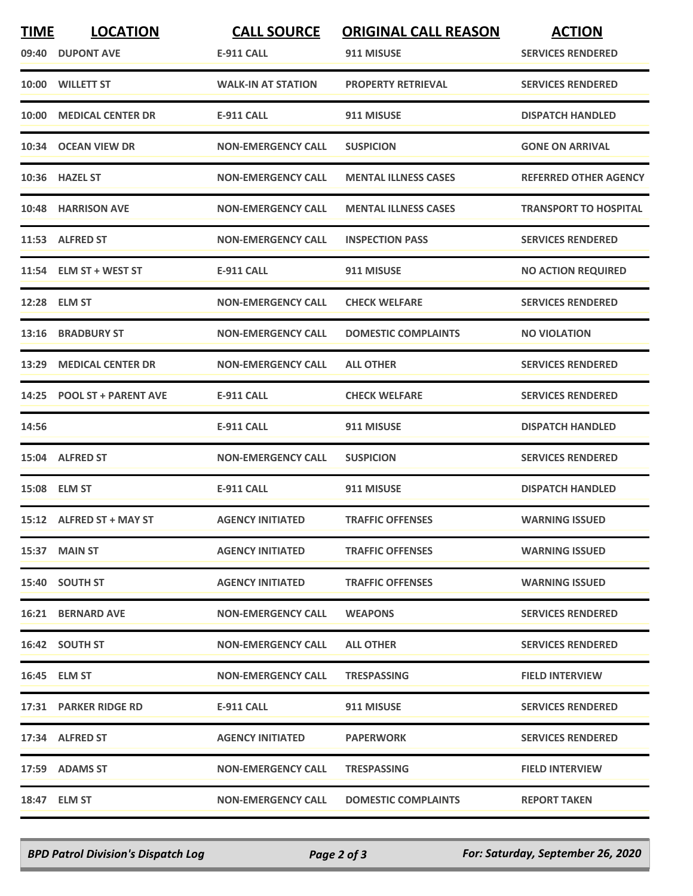| <b>TIME</b> | <b>LOCATION</b>            | <b>CALL SOURCE</b>        | <b>ORIGINAL CALL REASON</b> | <b>ACTION</b>                |
|-------------|----------------------------|---------------------------|-----------------------------|------------------------------|
|             | 09:40 DUPONT AVE           | <b>E-911 CALL</b>         | 911 MISUSE                  | <b>SERVICES RENDERED</b>     |
|             | 10:00 WILLETT ST           | <b>WALK-IN AT STATION</b> | <b>PROPERTY RETRIEVAL</b>   | <b>SERVICES RENDERED</b>     |
|             | 10:00 MEDICAL CENTER DR    | <b>E-911 CALL</b>         | 911 MISUSE                  | <b>DISPATCH HANDLED</b>      |
|             | 10:34 OCEAN VIEW DR        | <b>NON-EMERGENCY CALL</b> | <b>SUSPICION</b>            | <b>GONE ON ARRIVAL</b>       |
|             | 10:36 HAZEL ST             | <b>NON-EMERGENCY CALL</b> | <b>MENTAL ILLNESS CASES</b> | <b>REFERRED OTHER AGENCY</b> |
|             | 10:48 HARRISON AVE         | <b>NON-EMERGENCY CALL</b> | <b>MENTAL ILLNESS CASES</b> | <b>TRANSPORT TO HOSPITAL</b> |
|             | 11:53 ALFRED ST            | <b>NON-EMERGENCY CALL</b> | <b>INSPECTION PASS</b>      | <b>SERVICES RENDERED</b>     |
|             | 11:54 ELM ST + WEST ST     | <b>E-911 CALL</b>         | 911 MISUSE                  | <b>NO ACTION REQUIRED</b>    |
|             | 12:28 ELM ST               | <b>NON-EMERGENCY CALL</b> | <b>CHECK WELFARE</b>        | <b>SERVICES RENDERED</b>     |
| 13:16       | <b>BRADBURY ST</b>         | <b>NON-EMERGENCY CALL</b> | <b>DOMESTIC COMPLAINTS</b>  | <b>NO VIOLATION</b>          |
|             | 13:29 MEDICAL CENTER DR    | <b>NON-EMERGENCY CALL</b> | <b>ALL OTHER</b>            | <b>SERVICES RENDERED</b>     |
|             | 14:25 POOL ST + PARENT AVE | <b>E-911 CALL</b>         | <b>CHECK WELFARE</b>        | <b>SERVICES RENDERED</b>     |
| 14:56       |                            | <b>E-911 CALL</b>         | 911 MISUSE                  | <b>DISPATCH HANDLED</b>      |
|             | 15:04 ALFRED ST            | <b>NON-EMERGENCY CALL</b> | <b>SUSPICION</b>            | <b>SERVICES RENDERED</b>     |
|             | 15:08 ELM ST               | <b>E-911 CALL</b>         | 911 MISUSE                  | <b>DISPATCH HANDLED</b>      |
|             | 15:12 ALFRED ST + MAY ST   | <b>AGENCY INITIATED</b>   | <b>TRAFFIC OFFENSES</b>     | <b>WARNING ISSUED</b>        |
|             | 15:37 MAIN ST              | <b>AGENCY INITIATED</b>   | <b>TRAFFIC OFFENSES</b>     | <b>WARNING ISSUED</b>        |
|             | 15:40 SOUTH ST             | <b>AGENCY INITIATED</b>   | <b>TRAFFIC OFFENSES</b>     | <b>WARNING ISSUED</b>        |
|             | <b>16:21 BERNARD AVE</b>   | <b>NON-EMERGENCY CALL</b> | <b>WEAPONS</b>              | <b>SERVICES RENDERED</b>     |
|             | 16:42 SOUTH ST             | <b>NON-EMERGENCY CALL</b> | <b>ALL OTHER</b>            | <b>SERVICES RENDERED</b>     |
|             | 16:45 ELM ST               | <b>NON-EMERGENCY CALL</b> | <b>TRESPASSING</b>          | <b>FIELD INTERVIEW</b>       |
|             | 17:31 PARKER RIDGE RD      | E-911 CALL                | 911 MISUSE                  | <b>SERVICES RENDERED</b>     |
|             | 17:34 ALFRED ST            | <b>AGENCY INITIATED</b>   | <b>PAPERWORK</b>            | <b>SERVICES RENDERED</b>     |
|             | 17:59 ADAMS ST             | <b>NON-EMERGENCY CALL</b> | <b>TRESPASSING</b>          | <b>FIELD INTERVIEW</b>       |
|             | 18:47 ELM ST               | <b>NON-EMERGENCY CALL</b> | <b>DOMESTIC COMPLAINTS</b>  | <b>REPORT TAKEN</b>          |

*BPD Patrol Division's Dispatch Log Page 2 of 3 For: Saturday, September 26, 2020*